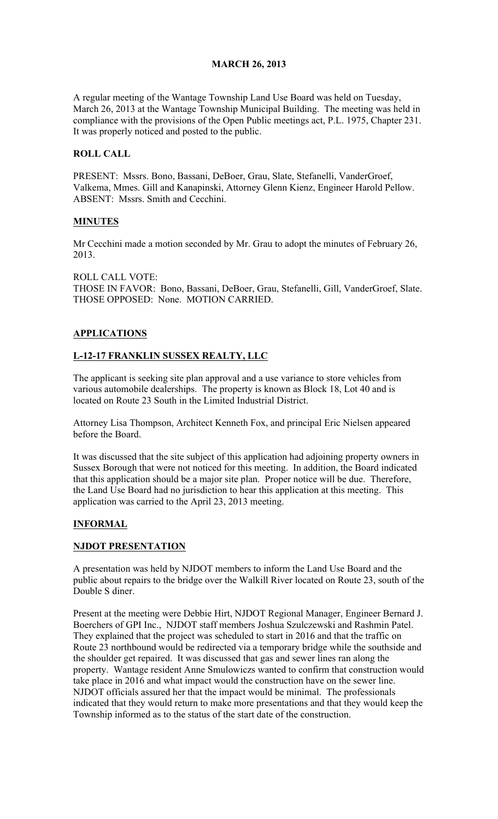## MARCH 26, 2013

A regular meeting of the Wantage Township Land Use Board was held on Tuesday, March 26, 2013 at the Wantage Township Municipal Building. The meeting was held in compliance with the provisions of the Open Public meetings act, P.L. 1975, Chapter 231. It was properly noticed and posted to the public.

## ROLL CALL

PRESENT: Mssrs. Bono, Bassani, DeBoer, Grau, Slate, Stefanelli, VanderGroef, Valkema, Mmes. Gill and Kanapinski, Attorney Glenn Kienz, Engineer Harold Pellow. ABSENT: Mssrs. Smith and Cecchini.

## MINUTES

Mr Cecchini made a motion seconded by Mr. Grau to adopt the minutes of February 26, 2013.

ROLL CALL VOTE: THOSE IN FAVOR: Bono, Bassani, DeBoer, Grau, Stefanelli, Gill, VanderGroef, Slate. THOSE OPPOSED: None. MOTION CARRIED.

## APPLICATIONS

## L-12-17 FRANKLIN SUSSEX REALTY, LLC

The applicant is seeking site plan approval and a use variance to store vehicles from various automobile dealerships. The property is known as Block 18, Lot 40 and is located on Route 23 South in the Limited Industrial District.

Attorney Lisa Thompson, Architect Kenneth Fox, and principal Eric Nielsen appeared before the Board.

It was discussed that the site subject of this application had adjoining property owners in Sussex Borough that were not noticed for this meeting. In addition, the Board indicated that this application should be a major site plan. Proper notice will be due. Therefore, the Land Use Board had no jurisdiction to hear this application at this meeting. This application was carried to the April 23, 2013 meeting.

#### INFORMAL

#### NJDOT PRESENTATION

A presentation was held by NJDOT members to inform the Land Use Board and the public about repairs to the bridge over the Walkill River located on Route 23, south of the Double S diner.

Present at the meeting were Debbie Hirt, NJDOT Regional Manager, Engineer Bernard J. Boerchers of GPI Inc., NJDOT staff members Joshua Szulczewski and Rashmin Patel. They explained that the project was scheduled to start in 2016 and that the traffic on Route 23 northbound would be redirected via a temporary bridge while the southside and the shoulder get repaired. It was discussed that gas and sewer lines ran along the property. Wantage resident Anne Smulowiczs wanted to confirm that construction would take place in 2016 and what impact would the construction have on the sewer line. NJDOT officials assured her that the impact would be minimal. The professionals indicated that they would return to make more presentations and that they would keep the Township informed as to the status of the start date of the construction.